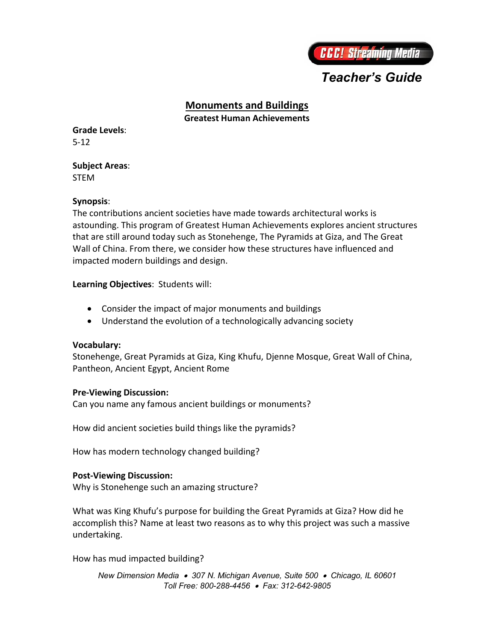

# *Teacher's Guide*

# **Monuments and Buildings**

**Greatest Human Achievements**

**Grade Levels**: 5-12

#### **Subject Areas**: STEM

### **Synopsis**:

The contributions ancient societies have made towards architectural works is astounding. This program of Greatest Human Achievements explores ancient structures that are still around today such as Stonehenge, The Pyramids at Giza, and The Great Wall of China. From there, we consider how these structures have influenced and impacted modern buildings and design.

**Learning Objectives**: Students will:

- Consider the impact of major monuments and buildings
- Understand the evolution of a technologically advancing society

# **Vocabulary:**

Stonehenge, Great Pyramids at Giza, King Khufu, Djenne Mosque, Great Wall of China, Pantheon, Ancient Egypt, Ancient Rome

#### **Pre-Viewing Discussion:**

Can you name any famous ancient buildings or monuments?

How did ancient societies build things like the pyramids?

How has modern technology changed building?

# **Post-Viewing Discussion:**

Why is Stonehenge such an amazing structure?

What was King Khufu's purpose for building the Great Pyramids at Giza? How did he accomplish this? Name at least two reasons as to why this project was such a massive undertaking.

How has mud impacted building?

*New Dimension Media 307 N. Michigan Avenue, Suite 500 Chicago, IL 60601 Toll Free: 800-288-4456 Fax: 312-642-9805*